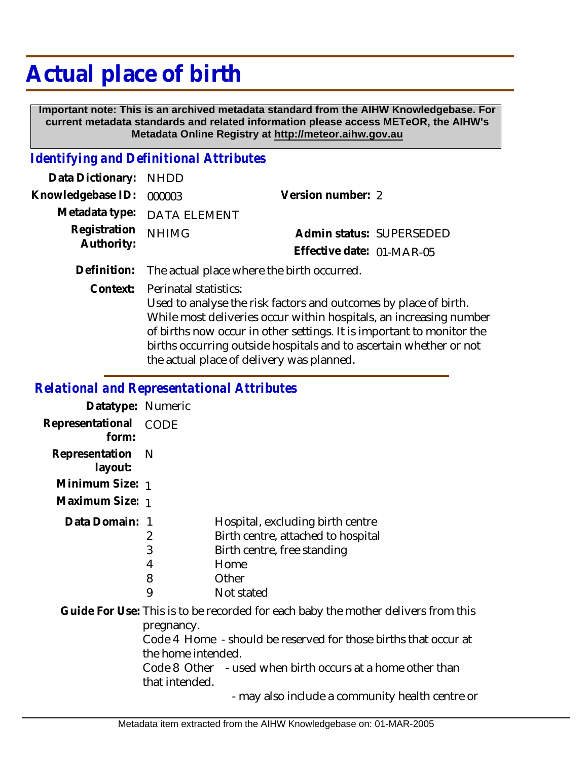## **Actual place of birth**

 **Important note: This is an archived metadata standard from the AIHW Knowledgebase. For current metadata standards and related information please access METeOR, the AIHW's Metadata Online Registry at http://meteor.aihw.gov.au**

## *Identifying and Definitional Attributes*

| Data Dictionary: NHDD      |                             |                           |  |
|----------------------------|-----------------------------|---------------------------|--|
| Knowledgebase ID: 000003   |                             | Version number: 2         |  |
|                            | Metadata type: DATA ELEMENT |                           |  |
| Registration<br>Authority: | <b>NHIMG</b>                | Admin status: SUPERSEDED  |  |
|                            |                             | Effective date: 01-MAR-05 |  |
|                            |                             |                           |  |

**Definition:** The actual place where the birth occurred.

Perinatal statistics: **Context:**

> Used to analyse the risk factors and outcomes by place of birth. While most deliveries occur within hospitals, an increasing number of births now occur in other settings. It is important to monitor the births occurring outside hospitals and to ascertain whether or not the actual place of delivery was planned.

## *Relational and Representational Attributes*

| Datatype: Numeric         |                                                    |                                                                                                                                                                                                                                                                       |
|---------------------------|----------------------------------------------------|-----------------------------------------------------------------------------------------------------------------------------------------------------------------------------------------------------------------------------------------------------------------------|
| Representational<br>form: | CODE                                               |                                                                                                                                                                                                                                                                       |
| Representation<br>layout: | - N                                                |                                                                                                                                                                                                                                                                       |
| Minimum Size: 1           |                                                    |                                                                                                                                                                                                                                                                       |
| Maximum Size: 1           |                                                    |                                                                                                                                                                                                                                                                       |
| Data Domain: 1            | 2<br>3<br>4<br>8<br>9                              | Hospital, excluding birth centre<br>Birth centre, attached to hospital<br>Birth centre, free standing<br>Home<br>Other<br>Not stated                                                                                                                                  |
|                           | pregnancy.<br>the home intended.<br>that intended. | Guide For Use: This is to be recorded for each baby the mother delivers from this<br>Code 4 Home - should be reserved for those births that occur at<br>Code 8 Other - used when birth occurs at a home other than<br>- may also include a community health centre or |